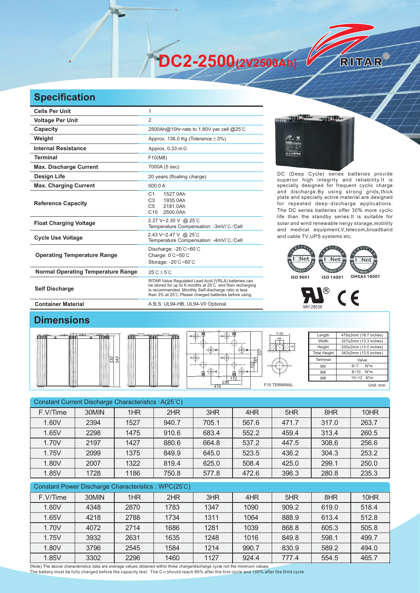**DC2-2500(2V2500Ah)** 

## **Specification**

| <b>Cells Per Unit</b>                     | 1                                                                                                                                                                                                                                   |
|-------------------------------------------|-------------------------------------------------------------------------------------------------------------------------------------------------------------------------------------------------------------------------------------|
| <b>Voltage Per Unit</b>                   | $\overline{2}$                                                                                                                                                                                                                      |
| Capacity                                  | 2500Ah@10hr-rate to 1.80V per cell @25°C                                                                                                                                                                                            |
| Weight                                    | Approx. 136.0 Kg (Tolerance $\pm$ 3%)                                                                                                                                                                                               |
| <b>Internal Resistance</b>                | Approx. $0.33 \text{ m}\Omega$                                                                                                                                                                                                      |
| <b>Terminal</b>                           | F10(M8)                                                                                                                                                                                                                             |
| <b>Max. Discharge Current</b>             | 7000A (5 sec)                                                                                                                                                                                                                       |
| Design Life                               | 20 years (floating charge)                                                                                                                                                                                                          |
| <b>Max. Charging Current</b>              | 500.0 A                                                                                                                                                                                                                             |
| <b>Reference Capacity</b>                 | C <sub>1</sub><br>1527.0Ah<br>1935.0Ah<br>C <sub>3</sub><br>2181.0Ah<br>C <sub>5</sub><br>C <sub>10</sub><br>2500.0Ah                                                                                                               |
| <b>Float Charging Voltage</b>             | 2.27 V~2.30 V @ 25°C<br>Temperature Compensation: -3mV/°C/Cell                                                                                                                                                                      |
| <b>Cycle Use Voltage</b>                  | 2.43 V~2.47 V @ 25°C<br>Temperature Compensation: -4mV/°C/Cell                                                                                                                                                                      |
| <b>Operating Temperature Range</b>        | Discharge: -20°C~60°C<br>Charge: 0°C~50°C<br>Storage: - 20°C~60°C                                                                                                                                                                   |
| <b>Normal Operating Temperature Range</b> | $25^{\circ}$ C + 5 $^{\circ}$ C                                                                                                                                                                                                     |
| <b>Self Discharge</b>                     | RITAR Valve Regulated Lead Acid (VRLA) batteries can<br>be stored for up to 6 months at 25°C and then recharging<br>is recommended. Monthly Self-discharge ratio is less<br>than 3% at 25°C. Please charged batteries before using. |

**Antibo SANTA TER** 

DC (Deep Cycle) series batteries provide superior high integrity and reliability.It is specially designed for frequent cyclic charge and discharge.By using strong grids,thick plate and specially active material are designed for repeated deep-discharge applications. The DC series batteries offer 30% more cyclic life than the standby series.It is suitable for solar and wind renewable nergy storage,mobility and medical equipment,V,telecom,broadband and cable TV,UPS systems etc.

RITAR®





55

## **Dimensions**



| ńп<br>ĺe,<br>342<br>330 |  |
|-------------------------|--|
|                         |  |

**Container Material Container Material A.B.S. UL94-HB, UL94-V0 Optional.** 



| Length              | 476±2mm (18.7 inches) |  |  |  |  |
|---------------------|-----------------------|--|--|--|--|
| Width               | 337±2mm (13.3 inches) |  |  |  |  |
| Height              | 330±2mm (13.0 inches) |  |  |  |  |
| <b>Total Height</b> | 342±2mm (13.5 inches) |  |  |  |  |
| Terminal            | Value                 |  |  |  |  |
| M <sub>5</sub>      | $N^*m$<br>$6 - 7$     |  |  |  |  |
| M <sub>6</sub>      | N*m<br>$8 - 10$       |  |  |  |  |
| M <sub>8</sub>      | 10~12 N*m             |  |  |  |  |
|                     | Unit: mm              |  |  |  |  |

| Constant Current Discharge Characteristics: A(25°C) |       |      |       |       |       |       |       |       |
|-----------------------------------------------------|-------|------|-------|-------|-------|-------|-------|-------|
| F.V/Time                                            | 30MIN | 1HR  | 2HR   | 3HR   | 4HR   | 5HR   | 8HR   | 10HR  |
| 1.60V                                               | 2394  | 1527 | 940.7 | 705.1 | 567.6 | 471.7 | 317.0 | 263.7 |
| 1.65V                                               | 2298  | 1475 | 910.6 | 683.4 | 552.2 | 459.4 | 313.4 | 260.5 |
| 1.70V                                               | 2197  | 1427 | 880.6 | 664.8 | 537.2 | 447.5 | 308.6 | 256.6 |
| 1.75V                                               | 2099  | 1375 | 849.9 | 645.0 | 523.5 | 436.2 | 304.3 | 253.2 |
| 1.80V                                               | 2007  | 1322 | 819.4 | 625.0 | 508.4 | 425.0 | 299.1 | 250.0 |
| 1.85V                                               | 1728  | 1186 | 750.8 | 577.8 | 472.6 | 396.3 | 280.8 | 235.3 |
|                                                     |       |      |       |       |       |       |       |       |

| Constant Power Discharge Characteristics: WPC(25°C) |       |      |      |      |       |       |       |       |
|-----------------------------------------------------|-------|------|------|------|-------|-------|-------|-------|
| F.V/Time                                            | 30MIN | 1HR  | 2HR  | 3HR  | 4HR   | 5HR   | 8HR   | 10HR  |
| 1.60V                                               | 4348  | 2870 | 1783 | 1347 | 1090  | 909.2 | 619.0 | 518.4 |
| 1.65V                                               | 4218  | 2788 | 1734 | 1311 | 1064  | 888.9 | 613.4 | 512.8 |
| 1.70V                                               | 4072  | 2714 | 1686 | 1281 | 1039  | 868.8 | 605.3 | 505.8 |
| 1.75V                                               | 3932  | 2631 | 1635 | 1248 | 1016  | 849.8 | 598.1 | 499.7 |
| 1.80V                                               | 3796  | 2545 | 1584 | 1214 | 990.7 | 830.9 | 589.2 | 494.0 |
| 1.85V                                               | 3302  | 2296 | 1460 | 1127 | 924.4 | 777.4 | 554.5 | 465.7 |

(Note) The above characteristics data are average values obtained within three charge/discharge cycle not the minimum values.<br>The battery must be fully charged before the capacity test. The C10 should reach 95% after the